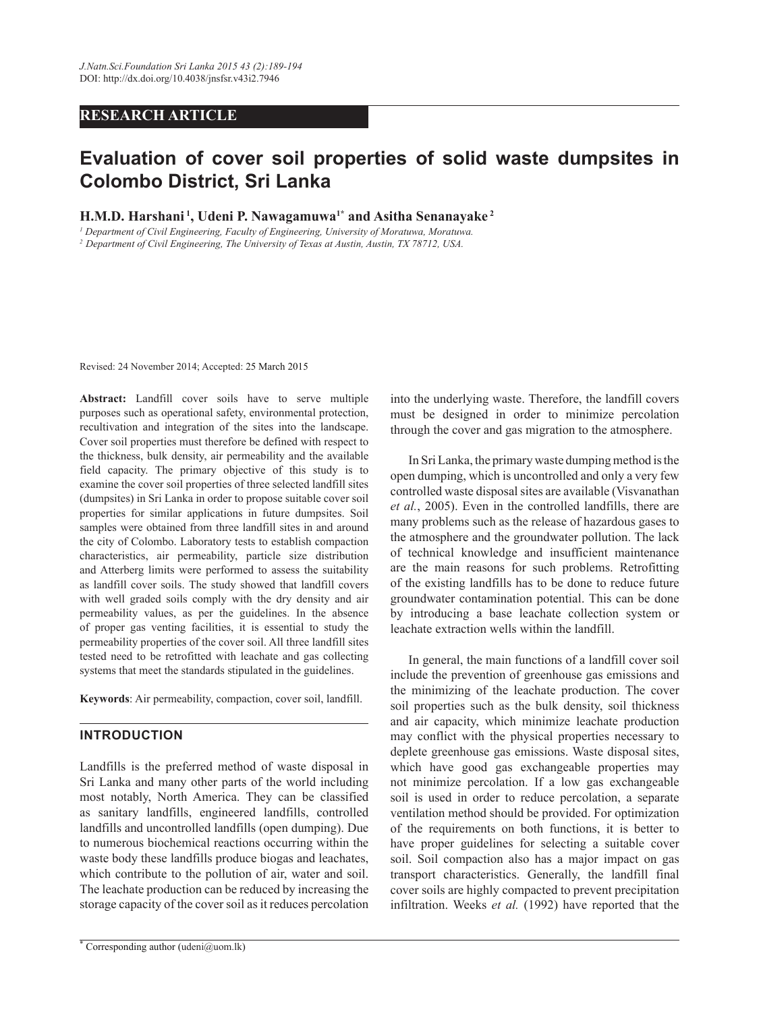# **RESEARCH ARTICLE**

# **Evaluation of cover soil properties of solid waste dumpsites in Colombo District, Sri Lanka**

**H.M.D. Harshani 1, Udeni P. Nawagamuwa1\* and Asitha Senanayake 2**

*1 Department of Civil Engineering, Faculty of Engineering, University of Moratuwa, Moratuwa. 2 Department of Civil Engineering, The University of Texas at Austin, Austin, TX 78712, USA.*

Revised: 24 November 2014; Accepted: 25 March 2015

**Abstract:** Landfill cover soils have to serve multiple purposes such as operational safety, environmental protection, recultivation and integration of the sites into the landscape. Cover soil properties must therefore be defined with respect to the thickness, bulk density, air permeability and the available field capacity. The primary objective of this study is to examine the cover soil properties of three selected landfill sites (dumpsites) in Sri Lanka in order to propose suitable cover soil properties for similar applications in future dumpsites. Soil samples were obtained from three landfill sites in and around the city of Colombo. Laboratory tests to establish compaction characteristics, air permeability, particle size distribution and Atterberg limits were performed to assess the suitability as landfill cover soils. The study showed that landfill covers with well graded soils comply with the dry density and air permeability values, as per the guidelines. In the absence of proper gas venting facilities, it is essential to study the permeability properties of the cover soil. All three landfill sites tested need to be retrofitted with leachate and gas collecting systems that meet the standards stipulated in the guidelines.

**Keywords**: Air permeability, compaction, cover soil, landfill.

## **Introduction**

Landfills is the preferred method of waste disposal in Sri Lanka and many other parts of the world including most notably, North America. They can be classified as sanitary landfills, engineered landfills, controlled landfills and uncontrolled landfills (open dumping). Due to numerous biochemical reactions occurring within the waste body these landfills produce biogas and leachates, which contribute to the pollution of air, water and soil. The leachate production can be reduced by increasing the storage capacity of the cover soil as it reduces percolation

\* Corresponding author (udeni@uom.lk)

into the underlying waste. Therefore, the landfill covers must be designed in order to minimize percolation through the cover and gas migration to the atmosphere.

In Sri Lanka, the primary waste dumping method is the open dumping, which is uncontrolled and only a very few controlled waste disposal sites are available (Visvanathan *et al.*, 2005). Even in the controlled landfills, there are many problems such as the release of hazardous gases to the atmosphere and the groundwater pollution. The lack of technical knowledge and insufficient maintenance are the main reasons for such problems. Retrofitting of the existing landfills has to be done to reduce future groundwater contamination potential. This can be done by introducing a base leachate collection system or leachate extraction wells within the landfill.

In general, the main functions of a landfill cover soil include the prevention of greenhouse gas emissions and the minimizing of the leachate production. The cover soil properties such as the bulk density, soil thickness and air capacity, which minimize leachate production may conflict with the physical properties necessary to deplete greenhouse gas emissions. Waste disposal sites, which have good gas exchangeable properties may not minimize percolation. If a low gas exchangeable soil is used in order to reduce percolation, a separate ventilation method should be provided. For optimization of the requirements on both functions, it is better to have proper guidelines for selecting a suitable cover soil. Soil compaction also has a major impact on gas transport characteristics. Generally, the landfill final cover soils are highly compacted to prevent precipitation infiltration. Weeks *et al.* (1992) have reported that the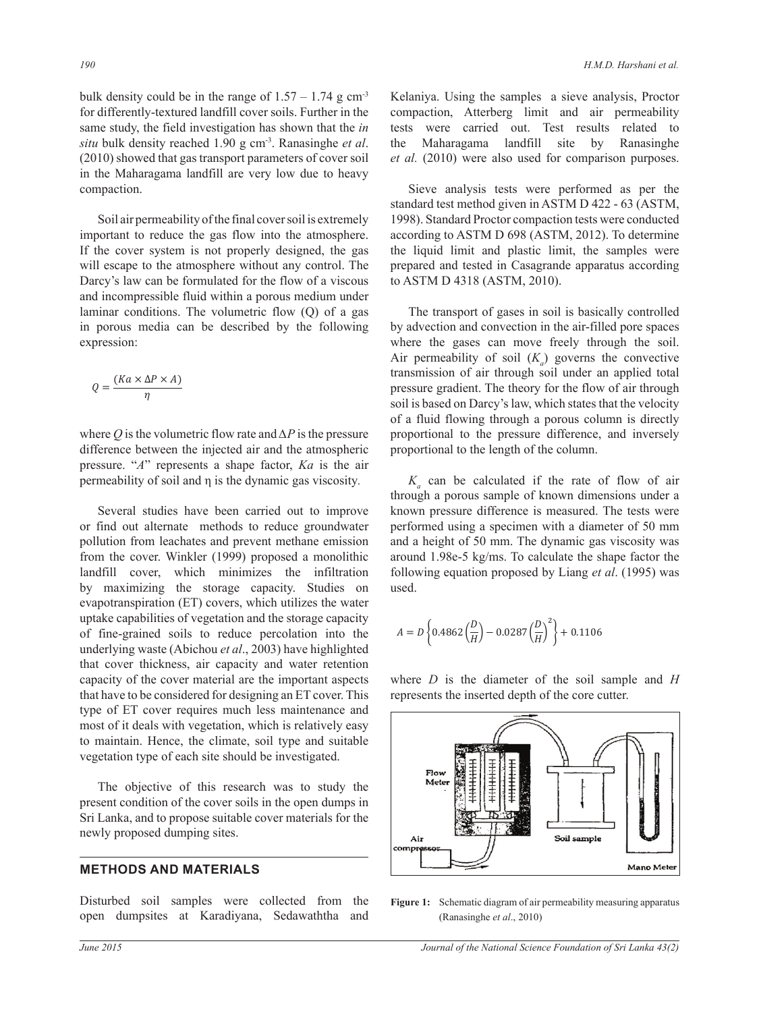bulk density could be in the range of  $1.57 - 1.74$  g cm<sup>-3</sup> for differently-textured landfill cover soils. Further in the same study, the field investigation has shown that the *in situ* bulk density reached 1.90 g cm-3. Ranasinghe *et al*. (2010) showed that gas transport parameters of cover soil in the Maharagama landfill are very low due to heavy compaction.

Soil air permeability of the final cover soil is extremely important to reduce the gas flow into the atmosphere. If the cover system is not properly designed, the gas will escape to the atmosphere without any control. The Darcy's law can be formulated for the flow of a viscous and incompressible fluid within a porous medium under laminar conditions. The volumetric flow (Q) of a gas in porous media can be described by the following expression:

$$
Q = \frac{(Ka \times \Delta P \times A)}{\eta}
$$

difference between the injected air and the atmospheric difference between the injected air and the atmospheric pressure. "*A*" represents a shape factor, *Ka* is the air where *Q* is the volumetric flow rate and *∆P* is the pressure permeability of soil and η is the dynamic gas viscosity*.*

> Several studies have been carried out to improve or find out alternate methods to reduce groundwater pollution from leachates and prevent methane emission from the cover. Winkler (1999) proposed a monolithic landfill cover, which minimizes the infiltration by maximizing the storage capacity. Studies on evapotranspiration (ET) covers, which utilizes the water uptake capabilities of vegetation and the storage capacity of fine-grained soils to reduce percolation into the underlying waste (Abichou *et al*., 2003) have highlighted that cover thickness, air capacity and water retention capacity of the cover material are the important aspects that have to be considered for designing an ET cover. This type of ET cover requires much less maintenance and most of it deals with vegetation, which is relatively easy to maintain. Hence, the climate, soil type and suitable vegetation type of each site should be investigated.

> The objective of this research was to study the present condition of the cover soils in the open dumps in Sri Lanka, and to propose suitable cover materials for the newly proposed dumping sites.

### **Methods and Materials**

Disturbed soil samples were collected from the open dumpsites at Karadiyana, Sedawaththa and Kelaniya. Using the samples a sieve analysis, Proctor compaction, Atterberg limit and air permeability tests were carried out. Test results related to the Maharagama landfill site by Ranasinghe *et al.* (2010) were also used for comparison purposes.

Sieve analysis tests were performed as per the standard test method given in ASTM D 422 - 63 (ASTM, 1998). Standard Proctor compaction tests were conducted according to ASTM D 698 (ASTM, 2012). To determine the liquid limit and plastic limit, the samples were prepared and tested in Casagrande apparatus according to ASTM D 4318 (ASTM, 2010).

The transport of gases in soil is basically controlled by advection and convection in the air-filled pore spaces where the gases can move freely through the soil. Air permeability of soil  $(K_a)$  governs the convective transmission of air through soil under an applied total pressure gradient. The theory for the flow of air through soil is based on Darcy's law, which states that the velocity of a fluid flowing through a porous column is directly proportional to the pressure difference, and inversely proportional to the length of the column.

 $K_a$  can be calculated if the rate of flow of air through a porous sample of known dimensions under a known pressure difference is measured. The tests were performed using a specimen with a diameter of 50 mm and a height of 50 mm. The dynamic gas viscosity was around 1.98e-5 kg/ms. To calculate the shape factor the following equation proposed by Liang *et al.* (1995) was a contract to the following equation proposed by Liang *et al.* (1995) was used.

$$
A = D \left\{ 0.4862 \left( \frac{D}{H} \right) - 0.0287 \left( \frac{D}{H} \right)^2 \right\} + 0.1106
$$

where *D* is the diameter of the soil sample and *H* represents the inserted depth of the core cutter.



**Figure 1:** Schematic diagram of air permeability measuring apparatus (Ranasinghe *et al*., 2010)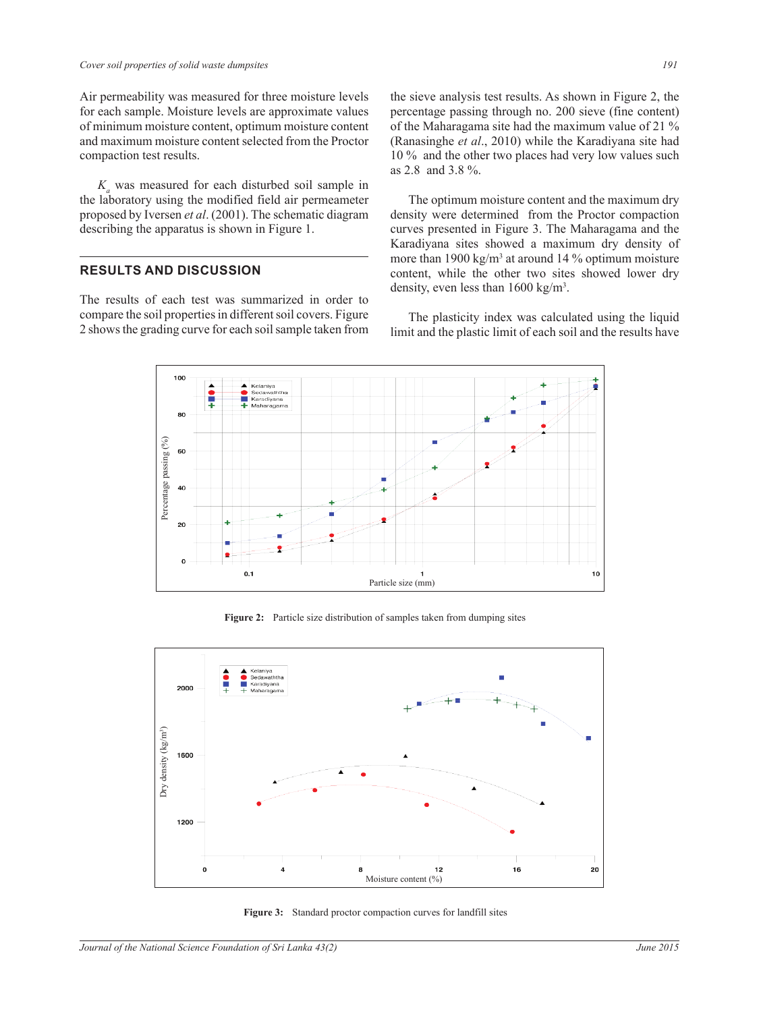Air permeability was measured for three moisture levels for each sample. Moisture levels are approximate values of minimum moisture content, optimum moisture content and maximum moisture content selected from the Proctor compaction test results.

 $K_a$  was measured for each disturbed soil sample in the laboratory using the modified field air permeameter proposed by Iversen *et al*. (2001). The schematic diagram describing the apparatus is shown in Figure 1.

## **Results and Discussion**

The results of each test was summarized in order to compare the soil properties in different soil covers. Figure 2 shows the grading curve for each soil sample taken from the sieve analysis test results. As shown in Figure 2, the percentage passing through no. 200 sieve (fine content) of the Maharagama site had the maximum value of 21 % (Ranasinghe *et al*., 2010) while the Karadiyana site had 10 % and the other two places had very low values such as 2.8 and 3.8 %.

The optimum moisture content and the maximum dry density were determined from the Proctor compaction curves presented in Figure 3. The Maharagama and the Karadiyana sites showed a maximum dry density of more than 1900 kg/m<sup>3</sup> at around 14 % optimum moisture content, while the other two sites showed lower dry density, even less than 1600 kg/m<sup>3</sup>.

The plasticity index was calculated using the liquid limit and the plastic limit of each soil and the results have



**Figure 2:** Particle size distribution of samples taken from dumping sites



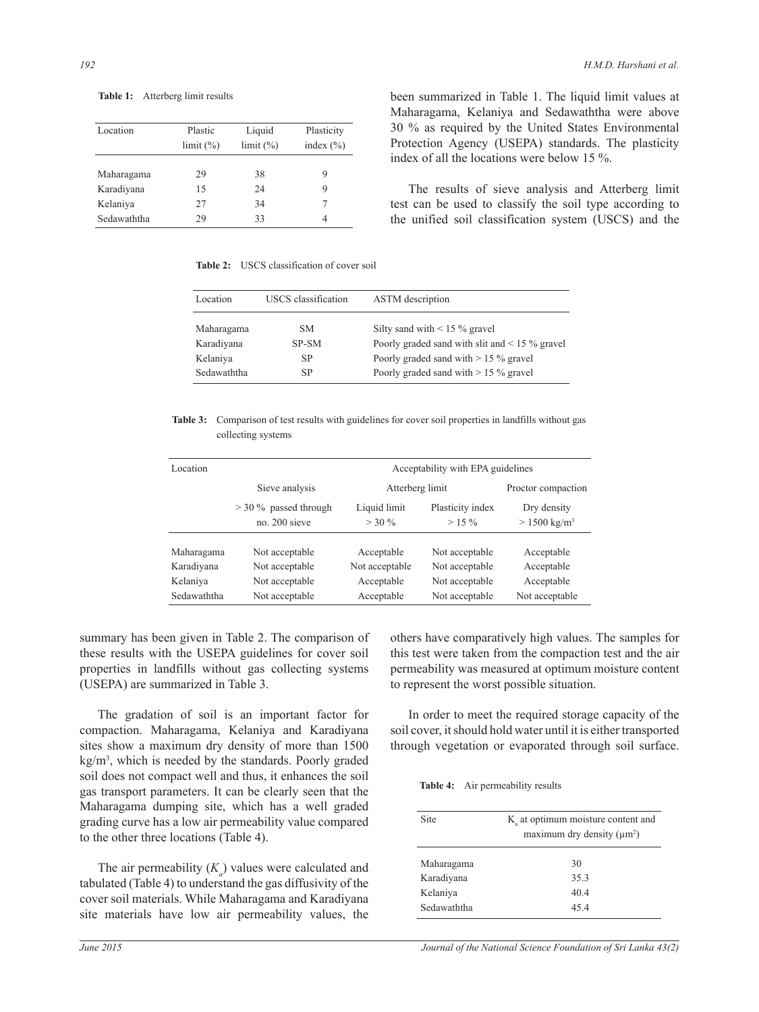| Location    | Plastic<br>limit (%) | Liquid<br>limit (%) | Plasticity<br>index $(\% )$ |
|-------------|----------------------|---------------------|-----------------------------|
| Maharagama  | 29                   | 38                  | 9                           |
| Karadiyana  | 15                   | 24                  | 9                           |
| Kelaniya    | 27                   | 34                  |                             |
| Sedawaththa | 29                   | 33                  | 4                           |

been summarized in Table 1. The liquid limit values at Maharagama, Kelaniya and Sedawaththa were above 30 % as required by the United States Environmental Protection Agency (USEPA) standards. The plasticity index of all the locations were below 15 %.

The results of sieve analysis and Atterberg limit test can be used to classify the soil type according to the unified soil classification system (USCS) and the

**Table 2:** USCS classification of cover soil

| Location    | USCS classification | <b>ASTM</b> description                             |
|-------------|---------------------|-----------------------------------------------------|
| Maharagama  | SM.                 | Silty sand with $\leq$ 15 % gravel                  |
| Karadiyana  | SP-SM               | Poorly graded sand with slit and $\leq$ 15 % gravel |
| Kelaniya    | SP                  | Poorly graded sand with $> 15 \%$ gravel            |
| Sedawaththa | SP                  | Poorly graded sand with $> 15 \%$ gravel            |

**Table 3:** Comparison of test results with guidelines for cover soil properties in landfills without gas collecting systems

| Location       | Acceptability with EPA guidelines        |                          |                             |                                        |
|----------------|------------------------------------------|--------------------------|-----------------------------|----------------------------------------|
| Sieve analysis |                                          | Atterberg limit          |                             | Proctor compaction                     |
|                | $>$ 30 % passed through<br>no. 200 sieve | Liquid limit<br>$>$ 30 % | Plasticity index<br>$>15\%$ | Dry density<br>$> 1500 \text{ kg/m}^3$ |
| Maharagama     | Not acceptable                           | Acceptable               | Not acceptable              | Acceptable                             |
| Karadiyana     | Not acceptable                           | Not acceptable           | Not acceptable              | Acceptable                             |
| Kelaniya       | Not acceptable                           | Acceptable               | Not acceptable              | Acceptable                             |
| Sedawaththa    | Not acceptable                           | Acceptable               | Not acceptable              | Not acceptable                         |

summary has been given in Table 2. The comparison of these results with the USEPA guidelines for cover soil properties in landfills without gas collecting systems (USEPA) are summarized in Table 3.

The gradation of soil is an important factor for compaction. Maharagama, Kelaniya and Karadiyana sites show a maximum dry density of more than 1500 kg/m3 , which is needed by the standards. Poorly graded soil does not compact well and thus, it enhances the soil gas transport parameters. It can be clearly seen that the Maharagama dumping site, which has a well graded grading curve has a low air permeability value compared to the other three locations (Table 4).

The air permeability  $(K_a)$  values were calculated and tabulated (Table 4) to understand the gas diffusivity of the cover soil materials. While Maharagama and Karadiyana site materials have low air permeability values, the

others have comparatively high values. The samples for this test were taken from the compaction test and the air permeability was measured at optimum moisture content to represent the worst possible situation.

In order to meet the required storage capacity of the soil cover, it should hold water until it is either transported through vegetation or evaporated through soil surface.

| <b>Table 4:</b> |  | Air permeability results |
|-----------------|--|--------------------------|
|-----------------|--|--------------------------|

| <b>Site</b> | K at optimum moisture content and<br>maximum dry density $(\mu m^2)$ |
|-------------|----------------------------------------------------------------------|
| Maharagama  | 30                                                                   |
| Karadiyana  | 35.3                                                                 |
| Kelaniya    | 40.4                                                                 |
| Sedawaththa | 454                                                                  |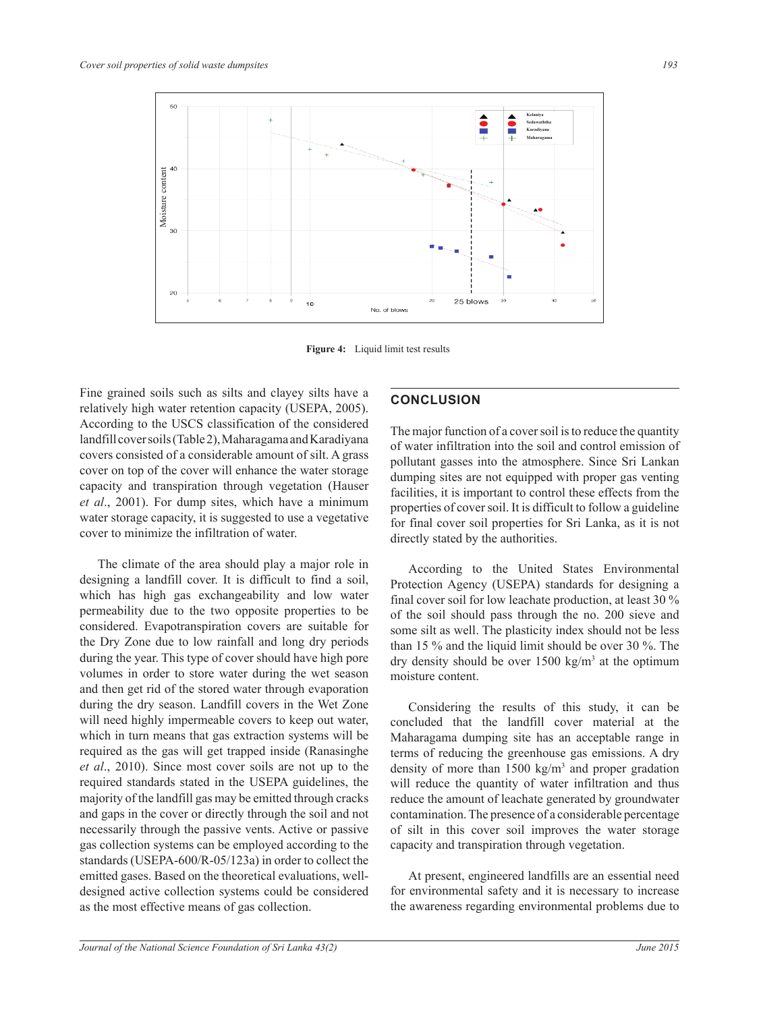

**Figure 4:** Liquid limit test results

Fine grained soils such as silts and clayey silts have a relatively high water retention capacity (USEPA, 2005). According to the USCS classification of the considered landfill cover soils (Table2), Maharagama and Karadiyana covers consisted of a considerable amount of silt. A grass cover on top of the cover will enhance the water storage capacity and transpiration through vegetation (Hauser *et al*., 2001). For dump sites, which have a minimum water storage capacity, it is suggested to use a vegetative cover to minimize the infiltration of water.

The climate of the area should play a major role in designing a landfill cover. It is difficult to find a soil, which has high gas exchangeability and low water permeability due to the two opposite properties to be considered. Evapotranspiration covers are suitable for the Dry Zone due to low rainfall and long dry periods during the year. This type of cover should have high pore volumes in order to store water during the wet season and then get rid of the stored water through evaporation during the dry season. Landfill covers in the Wet Zone will need highly impermeable covers to keep out water, which in turn means that gas extraction systems will be required as the gas will get trapped inside (Ranasinghe *et al*., 2010). Since most cover soils are not up to the required standards stated in the USEPA guidelines, the majority of the landfill gas may be emitted through cracks and gaps in the cover or directly through the soil and not necessarily through the passive vents. Active or passive gas collection systems can be employed according to the standards (USEPA-600/R-05/123a) in order to collect the emitted gases. Based on the theoretical evaluations, welldesigned active collection systems could be considered as the most effective means of gas collection.

# **Conclusion**

The major function of a cover soil is to reduce the quantity of water infiltration into the soil and control emission of pollutant gasses into the atmosphere. Since Sri Lankan dumping sites are not equipped with proper gas venting facilities, it is important to control these effects from the properties of cover soil. It is difficult to follow a guideline for final cover soil properties for Sri Lanka, as it is not directly stated by the authorities.

According to the United States Environmental Protection Agency (USEPA) standards for designing a final cover soil for low leachate production, at least 30 % of the soil should pass through the no. 200 sieve and some silt as well. The plasticity index should not be less than 15 % and the liquid limit should be over 30 %. The dry density should be over  $1500 \text{ kg/m}^3$  at the optimum moisture content.

Considering the results of this study, it can be concluded that the landfill cover material at the Maharagama dumping site has an acceptable range in terms of reducing the greenhouse gas emissions. A dry density of more than  $1500 \text{ kg/m}^3$  and proper gradation will reduce the quantity of water infiltration and thus reduce the amount of leachate generated by groundwater contamination. The presence of a considerable percentage of silt in this cover soil improves the water storage capacity and transpiration through vegetation.

At present, engineered landfills are an essential need for environmental safety and it is necessary to increase the awareness regarding environmental problems due to